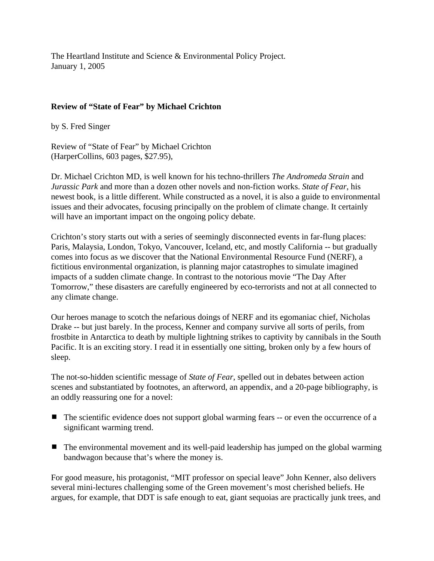The Heartland Institute and Science & Environmental Policy Project. January 1, 2005

## **Review of "State of Fear" by Michael Crichton**

by S. Fred Singer

Review of "State of Fear" by Michael Crichton (HarperCollins, 603 pages, \$27.95),

Dr. Michael Crichton MD, is well known for his techno-thrillers *The Andromeda Strain* and *Jurassic Park* and more than a dozen other novels and non-fiction works. *State of Fear*, his newest book, is a little different. While constructed as a novel, it is also a guide to environmental issues and their advocates, focusing principally on the problem of climate change. It certainly will have an important impact on the ongoing policy debate.

Crichton's story starts out with a series of seemingly disconnected events in far-flung places: Paris, Malaysia, London, Tokyo, Vancouver, Iceland, etc, and mostly California -- but gradually comes into focus as we discover that the National Environmental Resource Fund (NERF), a fictitious environmental organization, is planning major catastrophes to simulate imagined impacts of a sudden climate change. In contrast to the notorious movie "The Day After Tomorrow," these disasters are carefully engineered by eco-terrorists and not at all connected to any climate change.

Our heroes manage to scotch the nefarious doings of NERF and its egomaniac chief, Nicholas Drake -- but just barely. In the process, Kenner and company survive all sorts of perils, from frostbite in Antarctica to death by multiple lightning strikes to captivity by cannibals in the South Pacific. It is an exciting story. I read it in essentially one sitting, broken only by a few hours of sleep.

The not-so-hidden scientific message of *State of Fear*, spelled out in debates between action scenes and substantiated by footnotes, an afterword, an appendix, and a 20-page bibliography, is an oddly reassuring one for a novel:

- $\blacksquare$  The scientific evidence does not support global warming fears  $\blacksquare$  or even the occurrence of a significant warming trend.
- $\blacksquare$  The environmental movement and its well-paid leadership has jumped on the global warming bandwagon because that's where the money is.

For good measure, his protagonist, "MIT professor on special leave" John Kenner, also delivers several mini-lectures challenging some of the Green movement's most cherished beliefs. He argues, for example, that DDT is safe enough to eat, giant sequoias are practically junk trees, and